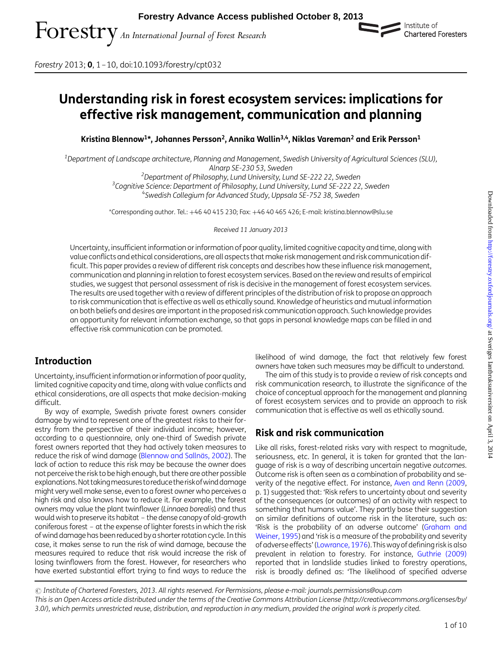

Forestry 2013; **0**, 1–10, doi:10.1093/forestry/cpt032

# Understanding risk in forest ecosystem services: implications for effective risk management, communication and planning

Kristina Blennow<sup>1\*</sup>, Johannes Persson<sup>2</sup>, Annika Wallin<sup>3,4</sup>, Niklas Vareman<sup>2</sup> and Erik Persson<sup>1</sup>

<sup>1</sup>Department of Landscape architecture, Planning and Management, Swedish University of Agricultural Sciences (SLU),

Alnarp SE-230 53, Sweden<br><sup>2</sup> Denartment of Philosophy Lund University Lur Department of Philosophy, Lund University, Lund SE-222 22, Sweden <sup>3</sup>Cognitive Science: Department of Philosophy, Lund University, Lund SE-222 22, Sweden <sup>3</sup>Cognitive Science: Department of Philosophy, Lund University, Lund SE-222 22, Sweden <sup>4</sup>Swedish Collegium for Advanced Study, Uppsala SE-752 38, Sweden

\*Corresponding author. Tel.: +46 40 415 230; Fax: +46 40 465 426; E-mail: kristina.blennow@slu.se

Received 11 January 2013

Uncertainty, insufficient information or information of poor quality, limited cognitive capacity and time, along with value conflicts and ethical considerations, are all aspects thatmake risk management and risk communication difficult. This paper provides a review of different risk concepts and describes how these influence risk management, communication and planning in relation to forest ecosystem services. Based on the review and results of empirical studies, we suggest that personal assessment of risk is decisive in the management of forest ecosystem services. The results are used together with a review of different principles of the distribution of risk to propose an approach to risk communication that is effective as well as ethically sound. Knowledge of heuristics and mutual information on both beliefs and desires are important in the proposed risk communication approach. Such knowledge provides an opportunity for relevant information exchange, so that gaps in personal knowledge maps can be filled in and effective risk communication can be promoted.

# Introduction

Uncertainty, insufficient information or information of poor quality, limited cognitive capacity and time, along with value conflicts and ethical considerations, are all aspects that make decision-making difficult.

By way of example, Swedish private forest owners consider damage by wind to represent one of the greatest risks to their forestry from the perspective of their individual income; however, according to a questionnaire, only one-third of Swedish private forest owners reported that they had actively taken measures to reduce the risk of wind damage (Blennow and Sallnäs, 2002). The lack of action to reduce this risk may be because the owner does not perceive the risk to be high enough, but there are other possible explanations. Not taking measures to reduce the risk of wind damage might very well make sense, even to a forest owner who perceives a high risk and also knows how to reduce it. For example, the forest owners may value the plant twinflower (Linnaea borealis) and thus would wish to preserve its habitat – the dense canopy of old-growth coniferous forest – at the expense of lighter forests in which the risk of wind damage has been reduced by a shorter rotation cycle. In this case, it makes sense to run the risk of wind damage, because the measures required to reduce that risk would increase the risk of losing twinflowers from the forest. However, for researchers who have exerted substantial effort trying to find ways to reduce the likelihood of wind damage, the fact that relatively few forest owners have taken such measures may be difficult to understand.

The aim of this study is to provide a review of risk concepts and risk communication research, to illustrate the significance of the choice of conceptual approach for the management and planning of forest ecosystem services and to provide an approach to risk communication that is effective as well as ethically sound.

# Risk and risk communication

Like all risks, forest-related risks vary with respect to magnitude, seriousness, etc. In general, it is taken for granted that the language of risk is a way of describing uncertain negative outcomes. Outcome risk is often seen as a combination of probability and severity of the negative effect. For instance, [Aven and Renn \(2009,](#page-8-0) p. 1) suggested that: 'Risk refers to uncertainty about and severity of the consequences (or outcomes) of an activity with respect to something that humans value'. They partly base their suggestion on similar definitions of outcome risk in the literature, such as: 'Risk is the probability of an adverse outcome' ([Graham and](#page-8-0) [Weiner, 1995](#page-8-0)) and 'risk is a measure of the probability and severity of adverse effects' ([Lowrance, 1976\)](#page-9-0).This way of defining risk is also prevalent in relation to forestry. For instance, [Guthrie \(2009\)](#page-8-0) reported that in landslide studies linked to forestry operations, risk is broadly defined as: 'The likelihood of specified adverse

 $\odot$  Institute of Chartered Foresters, 2013. All rights reserved. For Permissions, please e-mail: journals.permissions@oup.com This is an Open Access article distributed under the terms of the Creative Commons Attribution License (http://creativecommons.org/licenses/by/ 3.0/), which permits unrestricted reuse, distribution, and reproduction in any medium, provided the original work is properly cited.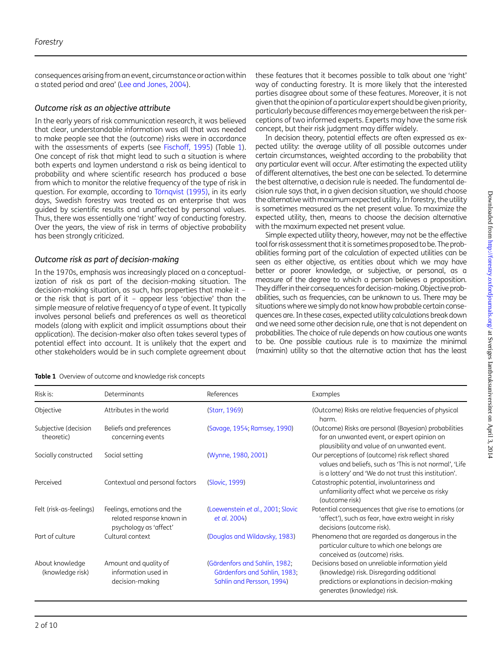<span id="page-1-0"></span>consequences arising from an event, circumstance or action within a stated period and area' [\(Lee and Jones, 2004](#page-9-0)).

### Outcome risk as an objective attribute

In the early years of risk communication research, it was believed that clear, understandable information was all that was needed to make people see that the (outcome) risks were in accordance with the assessments of experts (see [Fischoff, 1995\)](#page-8-0) (Table 1). One concept of risk that might lead to such a situation is where both experts and laymen understand a risk as being identical to probability and where scientific research has produced a base from which to monitor the relative frequency of the type of risk in question. For example, according to Törnqvist (1995), in its early days, Swedish forestry was treated as an enterprise that was guided by scientific results and unaffected by personal values. Thus, there was essentially one 'right' way of conducting forestry. Over the years, the view of risk in terms of objective probability has been strongly criticized.

### Outcome risk as part of decision-making

In the 1970s, emphasis was increasingly placed on a conceptualization of risk as part of the decision-making situation. The decision-making situation, as such, has properties that make it – or the risk that is part of it – appear less 'objective' than the simple measure of relative frequency of a type of event. It typically involves personal beliefs and preferences as well as theoretical models (along with explicit and implicit assumptions about their application). The decision-maker also often takes several types of potential effect into account. It is unlikely that the expert and other stakeholders would be in such complete agreement about

| Table 1 Overview of outcome and knowledge risk concepts |  |
|---------------------------------------------------------|--|
|---------------------------------------------------------|--|

these features that it becomes possible to talk about one 'right' way of conducting forestry. It is more likely that the interested parties disagree about some of these features. Moreover, it is not given that the opinion of a particular expert should be given priority, particularly because differences may emerge between the risk perceptions of two informed experts. Experts may have the same risk concept, but their risk judgment may differ widely.

In decision theory, potential effects are often expressed as expected utility: the average utility of all possible outcomes under certain circumstances, weighted according to the probability that any particular event will occur. After estimating the expected utility of different alternatives, the best one can be selected. To determine the best alternative, a decision rule is needed. The fundamental decision rule says that, in a given decision situation, we should choose the alternative with maximum expected utility. In forestry, the utility is sometimes measured as the net present value. To maximize the expected utility, then, means to choose the decision alternative with the maximum expected net present value.

Simple expected utility theory, however, may not be the effective tool for riskassessment that it is sometimes proposed to be. The probabilities forming part of the calculation of expected utilities can be seen as either objective, as entities about which we may have better or poorer knowledge, or subjective, or personal, as a measure of the degree to which a person believes a proposition. They differ in theirconsequences for decision-making.Objective probabilities, such as frequencies, can be unknown to us. There may be situations where we simply do not know how probable certain consequences are. In these cases, expected utility calculations break down and we need some other decision rule, one that is not dependent on probabilities. The choice of rule depends on how cautious one wants to be. One possible cautious rule is to maximize the minimal (maximin) utility so that the alternative action that has the least

| Risk is:                            | Determinants                                                                      | References                                                                                 | <b>Examples</b>                                                                                                                                                               |
|-------------------------------------|-----------------------------------------------------------------------------------|--------------------------------------------------------------------------------------------|-------------------------------------------------------------------------------------------------------------------------------------------------------------------------------|
| Objective                           | Attributes in the world                                                           | (Starr, 1969)                                                                              | (Outcome) Risks are relative frequencies of physical<br>harm.                                                                                                                 |
| Subjective (decision<br>theoretic)  | Beliefs and preferences<br>concerning events                                      | (Savage, 1954; Ramsey, 1990)                                                               | (Outcome) Risks are personal (Bayesian) probabilities<br>for an unwanted event, or expert opinion on<br>plausibility and value of an unwanted event.                          |
| Socially constructed                | Social setting                                                                    | (Wynne, 1980, 2001)                                                                        | Our perceptions of (outcome) risk reflect shared<br>values and beliefs, such as 'This is not normal', 'Life<br>is a lottery' and 'We do not trust this institution'.          |
| Perceived                           | Contextual and personal factors                                                   | (Slovic, 1999)                                                                             | Catastrophic potential, involuntariness and<br>unfamiliarity affect what we perceive as risky<br>(outcome risk)                                                               |
| Felt (risk-as-feelings)             | Feelings, emotions and the<br>related response known in<br>psychology as 'affect' | (Loewenstein et al., 2001; Slovic<br>et al. 2004)                                          | Potential consequences that give rise to emotions (or<br>'affect'), such as fear, have extra weight in risky<br>decisions (outcome risk).                                     |
| Part of culture                     | Cultural context                                                                  | (Douglas and Wildavsky, 1983)                                                              | Phenomena that are regarded as dangerous in the<br>particular culture to which one belongs are<br>conceived as (outcome) risks.                                               |
| About knowledge<br>(knowledge risk) | Amount and quality of<br>information used in<br>decision-making                   | (Gärdenfors and Sahlin, 1982;<br>Gärdenfors and Sahlin, 1983;<br>Sahlin and Persson, 1994) | Decisions based on unreliable information yield<br>(knowledge) risk. Disregarding additional<br>predictions or explanations in decision-making<br>generates (knowledge) risk. |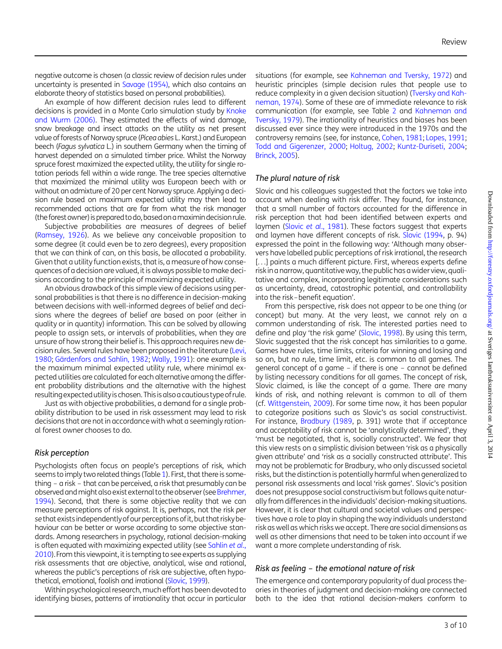negative outcome is chosen (a classic review of decision rules under uncertainty is presented in [Savage \(1954\)](#page-9-0), which also contains an elaborate theory of statistics based on personal probabilities).

An example of how different decision rules lead to different decisions is provided in a Monte Carlo simulation study by [Knoke](#page-8-0) [and Wurm \(2006\)](#page-8-0). They estimated the effects of wind damage, snow breakage and insect attacks on the utility as net present value of forests of Norway spruce (Picea abies L. Karst.) and European beech (Fagus sylvatica L.) in southern Germany when the timing of harvest depended on a simulated timber price. Whilst the Norway spruce forest maximized the expected utility, the utility for single rotation periods fell within a wide range. The tree species alternative that maximized the minimal utility was European beech with or without an admixture of 20 per cent Norway spruce. Applying a decision rule based on maximum expected utility may then lead to recommended actions that are far from what the risk manager (the forest owner) is prepared todo, basedon amaximin decision rule.

Subjective probabilities are measures of degrees of belief [\(Ramsey, 1926\)](#page-9-0). As we believe any conceivable proposition to some degree (it could even be to zero degrees), every proposition that we can think of can, on this basis, be allocated a probability. Given that a utility function exists, that is, a measure of how consequences of a decision are valued, it is always possible to make decisions according to the principle of maximizing expected utility.

An obvious drawback of this simple view of decisions using personal probabilities is that there is no difference in decision-making between decisions with well-informed degrees of belief and decisions where the degrees of belief are based on poor (either in quality or in quantity) information. This can be solved by allowing people to assign sets, or intervals of probabilities, when they are unsure of how strong their belief is. This approach requires new decision rules. Several rules have been proposed in the literature [\(Levi,](#page-9-0) [1980](#page-9-0); Gärdenfors and Sahlin, 1982; [Wally, 1991\)](#page-9-0): one example is the maximum minimal expected utility rule, where minimal expected utilities are calculated for each alternative among the different probability distributions and the alternative with the highest resulting expected utility ischosen. This is also acautious type of rule.

Just as with objective probabilities, a demand for a single probability distribution to be used in risk assessment may lead to risk decisions that are not in accordance with what a seemingly rational forest owner chooses to do.

#### Risk perception

Psychologists often focus on people's perceptions of risk, which seems to imply two related things (Table [1](#page-1-0)). First, that there is something – a risk – that can be perceived, a risk that presumably can be observed and might also exist external to the observer (see [Brehmer,](#page-8-0) [1994\)](#page-8-0). Second, that there is some objective reality that we can measure perceptions of risk against. It is, perhaps, not the risk per sethat exists independentlyof our perceptions of it, but that risky behaviour can be better or worse according to some objective standards. Among researchers in psychology, rational decision-making is often equated with maximizing expected utility (see [Sahlin](#page-9-0) et al., [2010\)](#page-9-0).From this viewpoint, it is tempting to see experts as supplying risk assessments that are objective, analytical, wise and rational, whereas the public's perceptions of risk are subjective, often hypothetical, emotional, foolish and irrational [\(Slovic, 1999\)](#page-9-0).

Within psychological research, much effort has been devoted to identifying biases, patterns of irrationality that occur in particular

situations (for example, see [Kahneman and Tversky, 1972\)](#page-8-0) and heuristic principles (simple decision rules that people use to reduce complexity in a given decision situation) ([Tversky and Kah](#page-9-0)[neman, 1974](#page-9-0)). Some of these are of immediate relevance to risk communication (for example, see Table [2](#page-3-0) and [Kahneman and](#page-8-0) [Tversky, 1979](#page-8-0)). The irrationality of heuristics and biases has been discussed ever since they were introduced in the 1970s and the controversy remains (see, for instance, [Cohen, 1981;](#page-8-0) [Lopes, 1991;](#page-9-0) [Todd and Gigerenzer, 2000;](#page-9-0) [Holtug, 2002;](#page-8-0) [Kuntz-Duriseti, 2004;](#page-9-0) [Brinck, 2005](#page-8-0)).

#### The plural nature of risk

Slovic and his colleagues suggested that the factors we take into account when dealing with risk differ. They found, for instance, that a small number of factors accounted for the difference in risk perception that had been identified between experts and laymen (Slovic et al[., 1981](#page-9-0)). These factors suggest that experts and laymen have different concepts of risk. [Slovic \(1994,](#page-9-0) p. 94) expressed the point in the following way: 'Although many observers have labelled public perceptions of risk irrational, the research [...] paints a much different picture. First, whereas experts define risk in a narrow, quantitative way, the public has awider view, qualitative and complex, incorporating legitimate considerations such as uncertainty, dread, catastrophic potential, and controllability into the risk–benefit equation'.

From this perspective, risk does not appear to be one thing (or concept) but many. At the very least, we cannot rely on a common understanding of risk. The interested parties need to define and play 'the risk game' ([Slovic, 1998](#page-9-0)). By using this term, Slovic suggested that the risk concept has similarities to a game. Games have rules, time limits, criteria for winning and losing and so on, but no rule, time limit, etc. is common to all games. The general concept of a game – if there is one – cannot be defined by listing necessary conditions for all games. The concept of risk, Slovic claimed, is like the concept of a game. There are many kinds of risk, and nothing relevant is common to all of them (cf. [Wittgenstein, 2009](#page-9-0)). For some time now, it has been popular to categorize positions such as Slovic's as social constructivist. For instance, [Bradbury \(1989,](#page-8-0) p. 391) wrote that if acceptance and acceptability of risk cannot be 'analytically determined', they 'must be negotiated, that is, socially constructed'. We fear that this view rests on a simplistic division between 'risk as a physically given attribute' and 'risk as a socially constructed attribute'. This may not be problematic for Bradbury, who only discussed societal risks, but the distinction is potentially harmful when generalized to personal risk assessments and local 'risk games'. Slovic's position does not presuppose social constructivism but follows quite naturally from differences in the individuals' decision-making situations. However, it is clear that cultural and societal values and perspectives have a role to play in shaping the way individuals understand risk as well as which risks we accept. There are social dimensions as well as other dimensions that need to be taken into account if we want a more complete understanding of risk.

#### Risk as feeling – the emotional nature of risk

The emergence and contemporary popularity of dual process theories in theories of judgment and decision-making are connected both to the idea that rational decision-makers conform to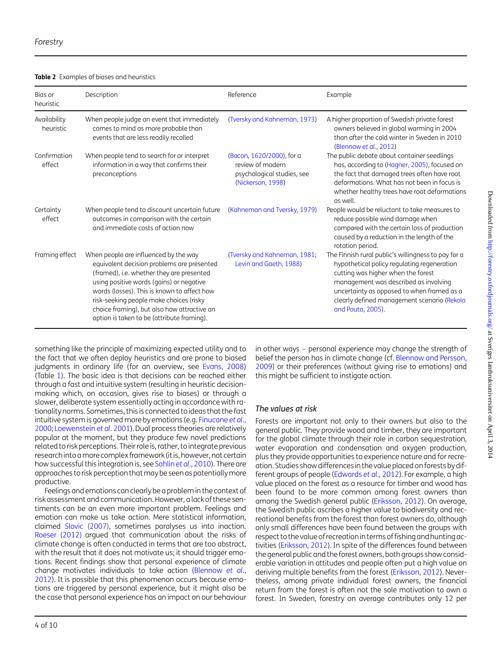<span id="page-3-0"></span>

| Bias or<br>heuristic      | Description                                                                                                                                                                                                                                                                                                                                                         | Reference                                                                                        | Example                                                                                                                                                                                                                                                                                             |
|---------------------------|---------------------------------------------------------------------------------------------------------------------------------------------------------------------------------------------------------------------------------------------------------------------------------------------------------------------------------------------------------------------|--------------------------------------------------------------------------------------------------|-----------------------------------------------------------------------------------------------------------------------------------------------------------------------------------------------------------------------------------------------------------------------------------------------------|
| Availability<br>heuristic | When people judge an event that immediately<br>comes to mind as more probable than<br>events that are less readily recalled                                                                                                                                                                                                                                         | (Tversky and Kahneman, 1973)                                                                     | A higher proportion of Swedish private forest<br>owners believed in global warming in 2004<br>than after the cold winter in Sweden in 2010<br>(Blennow et al., 2012)                                                                                                                                |
| Confirmation<br>effect    | When people tend to search for or interpret<br>information in a way that confirms their<br>preconceptions                                                                                                                                                                                                                                                           | (Bacon, 1620/2000), for a<br>review of modern<br>psychological studies, see<br>(Nickerson, 1998) | The public debate about container seedlings<br>has, according to (Hagner, 2005), focused on<br>the fact that damaged trees often have root<br>deformations. What has not been in focus is<br>whether healthy trees have root deformations<br>as well.                                               |
| Certainty<br>effect       | When people tend to discount uncertain future<br>outcomes in comparison with the certain<br>and immediate costs of action now                                                                                                                                                                                                                                       | (Kahneman and Tversky, 1979)                                                                     | People would be reluctant to take measures to<br>reduce possible wind damage when<br>compared with the certain loss of production<br>caused by a reduction in the length of the<br>rotation period.                                                                                                 |
| Framing effect            | When people are influenced by the way<br>equivalent decision problems are presented<br>(framed), i.e. whether they are presented<br>using positive words (gains) or negative<br>words (losses). This is known to affect how<br>risk-seeking people make choices (risky<br>choice framing), but also how attractive an<br>option is taken to be (attribute framing). | (Tversky and Kahneman, 1981;<br>Levin and Gaeth, 1988)                                           | The Finnish rural public's willingness to pay for a<br>hypothetical policy regulating regeneration<br>cutting was higher when the forest<br>management was described as involving<br>uncertainty as opposed to when framed as a<br>clearly defined management scenario (Rekola<br>and Pouta, 2005). |

something like the principle of maximizing expected utility and to the fact that we often deploy heuristics and are prone to biased judgments in ordinary life (for an overview, see [Evans, 2008\)](#page-8-0) (Table [1](#page-1-0)). The basic idea is that decisions can be reached either through a fast and intuitive system (resulting in heuristic decisionmaking which, on occasion, gives rise to biases) or through a slower, deliberate system essentially acting in accordance with rationality norms. Sometimes, this is connected to ideas that the fast intuitive system is governed more by emotions (e.g. [Finucane](#page-8-0) et al., [2000](#page-8-0); [Loewenstein](#page-9-0) et al. 2001). Dual process theories are relatively popular at the moment, but they produce few novel predictions related to risk perceptions. Their role is, rather, to integrate previous research into amore complex framework (it is, however, not certain how successful this integration is, see Sahlin et al[., 2010](#page-9-0)). There are approaches to risk perception thatmay be seen as potentiallymore productive.

Feelings and emotions can clearly be a problem in the context of risk assessment and communication. However, a lack of these sentiments can be an even more important problem. Feelings and emotion can make us take action. Mere statistical information, claimed [Slovic \(2007\)](#page-9-0), sometimes paralyses us into inaction. [Roeser \(2012\)](#page-9-0) argued that communication about the risks of climate change is often conducted in terms that are too abstract, with the result that it does not motivate us; it should trigger emotions. Recent findings show that personal experience of climate change motivates individuals to take action [\(Blennow](#page-8-0) et al., [2012](#page-8-0)). It is possible that this phenomenon occurs because emotions are triggered by personal experience, but it might also be the case that personal experience has an impact on our behaviour

in other ways – personal experience may change the strength of belief the person has in climate change (cf. [Blennow and Persson,](#page-8-0) [2009](#page-8-0)) or their preferences (without giving rise to emotions) and this might be sufficient to instigate action.

### The values at risk

Forests are important not only to their owners but also to the general public. They provide wood and timber, they are important for the global climate through their role in carbon sequestration, water evaporation and condensation and oxygen production, plus they provide opportunities to experience nature and for recreation. Studies show differences in the value placed on forests by different groups of people ([Edwards](#page-8-0) et al., 2012). For example, a high value placed on the forest as a resource for timber and wood has been found to be more common among forest owners than among the Swedish general public [\(Eriksson, 2012](#page-8-0)). On average, the Swedish public ascribes a higher value to biodiversity and recreational benefits from the forest than forest owners do, although only small differences have been found between the groups with respect to the value of recreation in terms of fishing and hunting activities ([Eriksson, 2012\)](#page-8-0). In spite of the differences found between the general public and the forest owners, both groups show considerable variation in attitudes and people often put a high value on deriving multiple benefits from the forest [\(Eriksson, 2012\)](#page-8-0). Nevertheless, among private individual forest owners, the financial return from the forest is often not the sole motivation to own a forest. In Sweden, forestry on average contributes only 12 per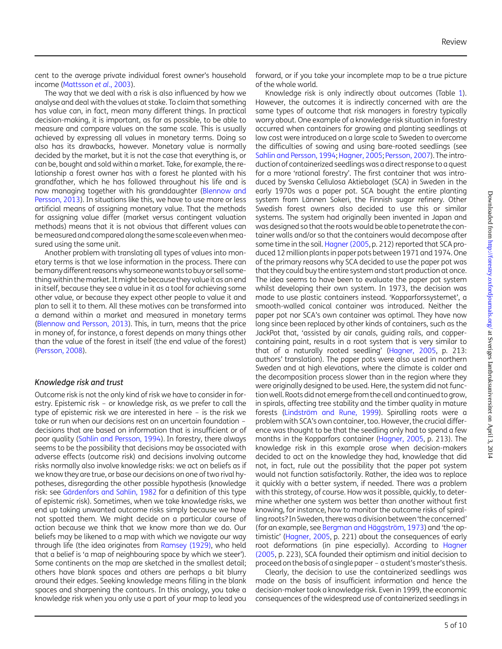cent to the average private individual forest owner's household income ([Mattsson](#page-9-0) et al., 2003).

The way that we deal with a risk is also influenced by how we analyse and deal with the values at stake. To claim that something has value can, in fact, mean many different things. In practical decision-making, it is important, as far as possible, to be able to measure and compare values on the same scale. This is usually achieved by expressing all values in monetary terms. Doing so also has its drawbacks, however. Monetary value is normally decided by the market, but it is not the case that everything is, or can be, bought and sold within a market. Take, for example, the relationship a forest owner has with a forest he planted with his grandfather, which he has followed throughout his life and is now managing together with his granddaughter [\(Blennow and](#page-8-0) [Persson, 2013\)](#page-8-0). In situations like this, we have to use more or less artificial means of assigning monetary value. That the methods for assigning value differ (market versus contingent valuation methods) means that it is not obvious that different values can bemeasured and compared along the same scale even whenmeasured using the same unit.

Another problem with translating all types of values into monetary terms is that we lose information in the process. There can bemany different reasons whysomeonewants to buy or sell something within the market. It might be because they value it as an end in itself, because they see a value in it as a tool for achieving some other value, or because they expect other people to value it and plan to sell it to them. All these motives can be transformed into a demand within a market and measured in monetary terms [\(Blennow and Persson, 2013\)](#page-8-0). This, in turn, means that the price in money of, for instance, a forest depends on many things other than the value of the forest in itself (the end value of the forest) [\(Persson, 2008\)](#page-9-0).

#### Knowledge risk and trust

Outcome risk is not the only kind of risk we have to consider in forestry. Epistemic risk – or knowledge risk, as we prefer to call the type of epistemic risk we are interested in here – is the risk we take or run when our decisions rest on an uncertain foundation – decisions that are based on information that is insufficient or of poor quality ([Sahlin and Persson, 1994](#page-9-0)). In forestry, there always seems to be the possibility that decisions may be associated with adverse effects (outcome risk) and decisions involving outcome risks normally also involve knowledge risks: we act on beliefs as if we know they are true, or base our decisions on one of two rival hypotheses, disregarding the other possible hypothesis (knowledge risk: see Gärdenfors and Sahlin, 1982 for a definition of this type of epistemic risk). Sometimes, when we take knowledge risks, we end up taking unwanted outcome risks simply because we have not spotted them. We might decide on a particular course of action because we think that we know more than we do. Our beliefs may be likened to a map with which we navigate our way through life (the idea originates from [Ramsey \(1929\)](#page-9-0), who held that a belief is 'a map of neighbouring space by which we steer'). Some continents on the map are sketched in the smallest detail; others have blank spaces and others are perhaps a bit blurry around their edges. Seeking knowledge means filling in the blank spaces and sharpening the contours. In this analogy, you take a knowledge risk when you only use a part of your map to lead you forward, or if you take your incomplete map to be a true picture of the whole world.

Knowledge risk is only indirectly about outcomes (Table [1\)](#page-1-0). However, the outcomes it is indirectly concerned with are the same types of outcome that risk managers in forestry typically worry about. One example of a knowledge risk situation in forestry occurred when containers for growing and planting seedlings at low cost were introduced on a large scale to Sweden to overcome the difficulties of sowing and using bare-rooted seedlings (see [Sahlin and Persson, 1994;](#page-9-0) [Hagner, 2005;](#page-8-0) [Persson, 2007](#page-9-0)). The introduction of containerized seedlings was a direct response to a quest for a more 'rational forestry'. The first container that was introduced by Svenska Cellulosa Aktiebolaget (SCA) in Sweden in the early 1970s was a paper pot. SCA bought the entire planting system from Lännen Sokeri, the Finnish sugar refinery. Other Swedish forest owners also decided to use this or similar systems. The system had originally been invented in Japan and was designed so that the roots would be able to penetrate the container walls and/or so that the containers would decompose after some time in the soil. [Hagner \(2005](#page-8-0), p. 212) reported that SCA produced 12 million plants in paper pots between 1971 and 1974. One of the primary reasons why SCA decided to use the paper pot was that they could buy the entire system and start production at once. The idea seems to have been to evaluate the paper pot system whilst developing their own system. In 1973, the decision was made to use plastic containers instead. 'Kopparforssystemet', a smooth-walled conical container was introduced. Neither the paper pot nor SCA's own container was optimal. They have now long since been replaced by other kinds of containers, such as the JackPot that, 'assisted by air canals, guiding rails, and coppercontaining paint, results in a root system that is very similar to that of a naturally rooted seedling' ([Hagner, 2005](#page-8-0), p. 213: authors' translation). The paper pots were also used in northern Sweden and at high elevations, where the climate is colder and the decomposition process slower than in the region where they were originally designed to be used. Here, the system did not function well. Roots did not emerge from the cell and continued to grow, in spirals, affecting tree stability and the timber quality in mature forests (Lindström and Rune, 1999). Spiralling roots were a problem with SCA's own container, too. However, the crucial difference was thought to be that the seedling only had to spend a few months in the Kopparfors container [\(Hagner, 2005,](#page-8-0) p. 213). The knowledge risk in this example arose when decision-makers decided to act on the knowledge they had, knowledge that did not, in fact, rule out the possibility that the paper pot system would not function satisfactorily. Rather, the idea was to replace it quickly with a better system, if needed. There was a problem with this strategy, of course. How was it possible, quickly, to determine whether one system was better than another without first knowing, for instance, how to monitor the outcome risks of spiralling roots? In Sweden, there was a division between 'the concerned' (for an example, see Bergman and Häggström, 1973) and 'the optimistic' [\(Hagner, 2005,](#page-8-0) p. 221) about the consequences of early root deformations (in pine especially). According to [Hagner](#page-8-0) [\(2005](#page-8-0), p. 223), SCA founded their optimism and initial decision to proceed on the basis of a single paper - a student's master's thesis.

Clearly, the decision to use the containerized seedlings was made on the basis of insufficient information and hence the decision-maker took a knowledge risk. Even in 1999, the economic consequences of the widespread use of containerized seedlings in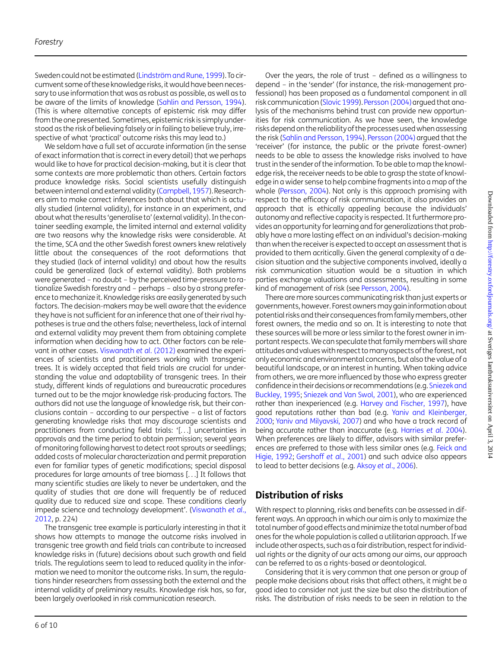Sweden could not be estimated (Lindström and Rune, 1999). To circumvent some of these knowledge risks, it would have been necessary to use information that was as robust as possible, as well as to be aware of the limits of knowledge [\(Sahlin and Persson, 1994](#page-9-0)). (This is where alternative concepts of epistemic risk may differ from the one presented. Sometimes, epistemic risk is simply understood as the risk of believing falsely or in failing to believe truly, irrespective of what 'practical' outcome risks this may lead to.)

We seldom have a full set of accurate information (in the sense of exact information that is correct in every detail) that we perhaps would like to have for practical decision-making, but it is clear that some contexts are more problematic than others. Certain factors produce knowledge risks. Social scientists usefully distinguish between internal and external validity [\(Campbell, 1957](#page-8-0)).Researchers aim to make correct inferences both about that which is actually studied (internal validity), for instance in an experiment, and about what the results 'generalise to' (external validity). In the container seedling example, the limited internal and external validity are two reasons why the knowledge risks were considerable. At the time, SCA and the other Swedish forest owners knew relatively little about the consequences of the root deformations that they studied (lack of internal validity) and about how the results could be generalized (lack of external validity). Both problems were generated – no doubt – by the perceived time-pressure to rationalize Swedish forestry and – perhaps – also by a strong preference to mechanize it. Knowledge risks are easily generated by such factors. The decision-makers may be well aware that the evidence they have is not sufficient for an inference that one of their rival hypotheses is true and the others false; nevertheless, lack of internal and external validity may prevent them from obtaining complete information when deciding how to act. Other factors can be relevant in other cases. [Viswanath](#page-9-0) et al. (2012) examined the experiences of scientists and practitioners working with transgenic trees. It is widely accepted that field trials are crucial for understanding the value and adaptability of transgenic trees. In their study, different kinds of regulations and bureaucratic procedures turned out to be the major knowledge risk-producing factors. The authors did not use the language of knowledge risk, but their conclusions contain – according to our perspective – a list of factors generating knowledge risks that may discourage scientists and practitioners from conducting field trials: '[...] uncertainties in approvals and the time period to obtain permission; several years of monitoring following harvest to detect root sprouts or seedlings; added costs of molecular characterization and permit preparation even for familiar types of genetic modifications; special disposal procedures for large amounts of tree biomass [...] It follows that many scientific studies are likely to never be undertaken, and the quality of studies that are done will frequently be of reduced quality due to reduced size and scope. These conditions clearly impede science and technology development'. [\(Viswanath](#page-9-0) et al., [2012](#page-9-0), p. 224)

The transgenic tree example is particularly interesting in that it shows how attempts to manage the outcome risks involved in transgenic tree growth and field trials can contribute to increased knowledge risks in (future) decisions about such growth and field trials. The regulations seem to lead to reduced quality in the information we need to monitor the outcome risks. In sum, the regulations hinder researchers from assessing both the external and the internal validity of preliminary results. Knowledge risk has, so far, been largely overlooked in risk communication research.

Over the years, the role of trust – defined as a willingness to depend – in the 'sender' (for instance, the risk-management professional) has been proposed as a fundamental component in all risk communication ([Slovic 1999](#page-9-0)). [Persson \(2004\)](#page-9-0) argued that analysis of the mechanisms behind trust can provide new opportunities for risk communication. As we have seen, the knowledge risks depend on the reliability of the processes used when assessing the risk ([Sahlin and Persson, 1994](#page-9-0)). [Persson \(2004\)](#page-9-0) arqued that the 'receiver' (for instance, the public or the private forest-owner) needs to be able to assess the knowledge risks involved to have trust in the sender of the information. To be able to map the knowledge risk, the receiver needs to be able to grasp the state of knowledge in a wider sense to help combine fragments into a map of the whole ([Persson, 2004](#page-9-0)). Not only is this approach promising with respect to the efficacy of risk communication, it also provides an approach that is ethically appealing because the individuals' autonomy and reflective capacity is respected. It furthermore provides an opportunity for learning and for generalizations that probably have a more lasting effect on an individual's decision-making than when the receiver is expected to accept an assessment that is provided to them acritically. Given the general complexity of a decision situation and the subjective components involved, ideally a risk communication situation would be a situation in which parties exchange valuations and assessments, resulting in some kind of management of risk (see [Persson, 2004\)](#page-9-0).

There are more sources communicating risk than just experts or governments, however. Forest ownersmay gain information about potential risks and their consequences from family members, other forest owners, the media and so on. It is interesting to note that these sources will be more or less similar to the forest owner in important respects.We can speculate that family members will share attitudes and values with respect tomanyaspects of the forest, not only economic and environmental concerns, but also the value of a beautiful landscape, or an interest in hunting. When taking advice from others, we are more influenced by those who express greater confidence in their decisions or recommendations (e.g. [Sniezek and](#page-9-0) [Buckley, 1995;](#page-9-0) [Sniezek and Van Swol, 2001\)](#page-9-0), who are experienced rather than inexperienced (e.g. [Harvey and Fischer, 1997\)](#page-8-0), have good reputations rather than bad (e.g. [Yaniv and Kleinberger,](#page-9-0) [2000](#page-9-0); [Yaniv and Milyavski, 2007\)](#page-9-0) and who have a track record of being accurate rather than inaccurate (e.g. [Harries](#page-8-0) et al. 2004). When preferences are likely to differ, advisors with similar preferences are preferred to those with less similar ones (e.g. [Feick and](#page-8-0) [Higie, 1992](#page-8-0); [Gershoff](#page-8-0) et al., 2001) and such advice also appears to lead to better decisions (e.g. Aksoy et al[., 2006\)](#page-8-0).

# Distribution of risks

With respect to planning, risks and benefits can be assessed in different ways. An approach in which our aim is only to maximize the total number of good effects and minimize the total number of bad ones for the whole population is called a utilitarian approach. If we include other aspects, such as a fair distribution, respect for individual rights or the dignity of our acts among our aims, our approach can be referred to as a rights-based or deontological.

Considering that it is very common that one person or group of people make decisions about risks that affect others, it might be a good idea to consider not just the size but also the distribution of risks. The distribution of risks needs to be seen in relation to the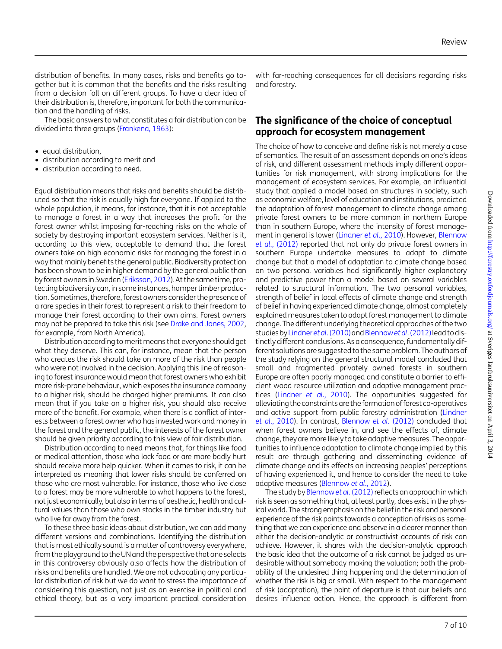distribution of benefits. In many cases, risks and benefits go together but it is common that the benefits and the risks resulting from a decision fall on different groups. To have a clear idea of their distribution is, therefore, important for both the communication and the handling of risks.

The basic answers to what constitutes a fair distribution can be divided into three groups ([Frankena, 1963\)](#page-8-0):

- equal distribution,
- distribution according to merit and
- distribution according to need.

Equal distribution means that risks and benefits should be distributed so that the risk is equally high for everyone. If applied to the whole population, it means, for instance, that it is not acceptable to manage a forest in a way that increases the profit for the forest owner whilst imposing far-reaching risks on the whole of society by destroying important ecosystem services. Neither is it, according to this view, acceptable to demand that the forest owners take on high economic risks for managing the forest in a way that mainly benefits the general public. Biodiversity protection has been shown to be in higher demand by the general public than by forest owners in Sweden ([Eriksson, 2012](#page-8-0)).At the same time, protecting biodiversity can, in some instances, hamper timber production. Sometimes, therefore, forest owners consider the presence of a rare species in their forest to represent a risk to their freedom to manage their forest according to their own aims. Forest owners may not be prepared to take this risk (see [Drake and Jones, 2002](#page-8-0), for example, from North America).

Distribution according to merit means that everyone should get what they deserve. This can, for instance, mean that the person who creates the risk should take on more of the risk than people who were not involved in the decision. Applying this line of reasoning to forest insurance would mean that forest owners who exhibit more risk-prone behaviour, which exposes the insurance company to a higher risk, should be charged higher premiums. It can also mean that if you take on a higher risk, you should also receive more of the benefit. For example, when there is a conflict of interests between a forest owner who has invested work and money in the forest and the general public, the interests of the forest owner should be given priority according to this view of fair distribution.

Distribution according to need means that, for things like food or medical attention, those who lack food or are more badly hurt should receive more help quicker. When it comes to risk, it can be interpreted as meaning that lower risks should be conferred on those who are most vulnerable. For instance, those who live close to a forest may be more vulnerable to what happens to the forest, not just economically, but also in terms of aesthetic, health and cultural values than those who own stocks in the timber industry but who live far away from the forest.

To these three basic ideas about distribution, we can add many different versions and combinations. Identifying the distribution that is most ethically sound is a matter of controversy everywhere, from the playground to the UN and the perspective that one selects in this controversy obviously also affects how the distribution of risks and benefits are handled. We are not advocating any particular distribution of risk but we do want to stress the importance of considering this question, not just as an exercise in political and ethical theory, but as a very important practical consideration

with far-reaching consequences for all decisions regarding risks and forestry.

## The significance of the choice of conceptual approach for ecosystem management

The choice of how to conceive and define risk is not merely a case of semantics. The result of an assessment depends on one's ideas of risk, and different assessment methods imply different opportunities for risk management, with strong implications for the management of ecosystem services. For example, an influential study that applied a model based on structures in society, such as economic welfare, level of education and institutions, predicted the adaptation of forest management to climate change among private forest owners to be more common in northern Europe than in southern Europe, where the intensity of forest management in general is lower ([Lindner](#page-9-0) et al., 2010). However, [Blennow](#page-8-0) et al[., \(2012\)](#page-8-0) reported that not only do private forest owners in southern Europe undertake measures to adapt to climate change but that a model of adaptation to climate change based on two personal variables had significantly higher explanatory and predictive power than a model based on several variables related to structural information. The two personal variables, strength of belief in local effects of climate change and strength of belief in having experienced climate change, almost completely explained measures taken to adapt forest management to climate change. The different underlying theoretical approaches of the two studies by [Lindner](#page-9-0) et al. (2010) and [Blennow](#page-8-0) et al. (2012) lead to distinctly different conclusions. As a consequence, fundamentally different solutions are suggested to the same problem. The authors of the study relying on the general structural model concluded that small and fragmented privately owned forests in southern Europe are often poorly managed and constitute a barrier to efficient wood resource utilization and adaptive management practices (Lindner et al[., 2010](#page-9-0)). The opportunities suggested for alleviating the constraints are the formation of forest co-operatives and active support from public forestry administration [\(Lindner](#page-9-0) et al[., 2010\)](#page-9-0). In contrast, [Blennow](#page-8-0) et al. (2012) concluded that when forest owners believe in, and see the effects of, climate change, they are more likely to take adaptive measures. The opportunities to influence adaptation to climate change implied by this result are through gathering and disseminating evidence of climate change and its effects on increasing peoples' perceptions of having experienced it, and hence to consider the need to take adaptive measures [\(Blennow](#page-8-0) et al., 2012).

The study by [Blennow](#page-8-0) et al. (2012) reflects an approach in which risk is seen as something that, at least partly, does exist in the physical world. The strong emphasis on the belief in the risk and personal experience of the risk points towards a conception of risks as something that we can experience and observe in a clearer manner than either the decision-analytic or constructivist accounts of risk can achieve. However, it shares with the decision-analytic approach the basic idea that the outcome of a risk cannot be judged as undesirable without somebody making the valuation; both the probability of the undesired thing happening and the determination of whether the risk is big or small. With respect to the management of risk (adaptation), the point of departure is that our beliefs and desires influence action. Hence, the approach is different from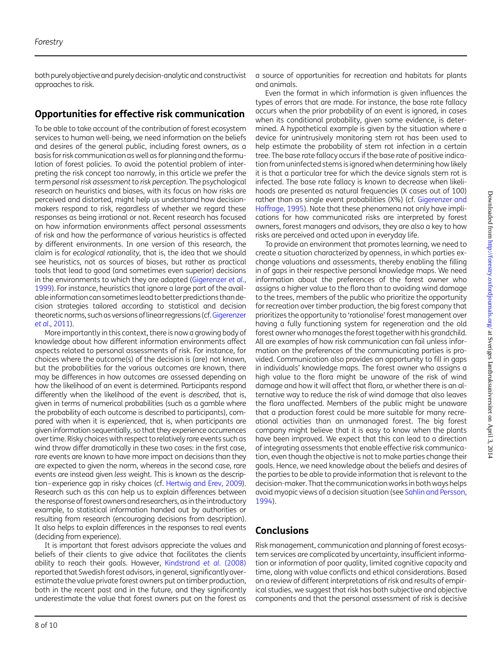both purely objective and purely decision-analytic and constructivist approaches to risk.

# Opportunities for effective risk communication

To be able to take account of the contribution of forest ecosystem services to human well-being, we need information on the beliefs and desires of the general public, including forest owners, as a basis for risk communication as well as for planning and the formulation of forest policies. To avoid the potential problem of interpreting the risk concept too narrowly, in this article we prefer the term personal risk assessment to risk perception. The psychological research on heuristics and biases, with its focus on how risks are perceived and distorted, might help us understand how decisionmakers respond to risk, regardless of whether we regard these responses as being irrational or not. Recent research has focused on how information environments affect personal assessments of risk and how the performance of various heuristics is affected by different environments. In one version of this research, the claim is for ecological rationality, that is, the idea that we should see heuristics, not as sources of biases, but rather as practical tools that lead to good (and sometimes even superior) decisions in the environments to which they are adapted ([Gigerenzer](#page-8-0) et al., [1999](#page-8-0)). For instance, heuristics that ignore a large part of the available information can sometimes lead to better predictions thandecision strategies tailored according to statistical and decision theoretic norms, such as versions of linear regressions (cf.[Gigerenzer](#page-8-0) et al[., 2011](#page-8-0)).

More importantly in this context, there is now a growing body of knowledge about how different information environments affect aspects related to personal assessments of risk. For instance, for choices where the outcome(s) of the decision is (are) not known, but the probabilities for the various outcomes are known, there may be differences in how outcomes are assessed depending on how the likelihood of an event is determined. Participants respond differently when the likelihood of the event is described, that is, given in terms of numerical probabilities (such as a gamble where the probability of each outcome is described to participants), compared with when it is experienced, that is, when participants are given information sequentially, so that they experience occurrences over time. Risky choices with respect to relatively rare events such as wind throw differ dramatically in these two cases: in the first case, rare events are known to have more impact on decisions than they are expected to given the norm, whereas in the second case, rare events are instead given less weight. This is known as the description–experience gap in risky choices (cf. [Hertwig and Erev, 2009](#page-8-0)). Research such as this can help us to explain differences between the response of forest owners and researchers, as in the introductory example, to statistical information handed out by authorities or resulting from research (encouraging decisions from description). It also helps to explain differences in the responses to real events (deciding from experience).

It is important that forest advisors appreciate the values and beliefs of their clients to give advice that facilitates the clients ability to reach their goals. However, [Kindstrand](#page-8-0) et al. (2008) reported that Swedish forest advisors, in general, significantly overestimate the value private forest owners put on timber production, both in the recent past and in the future, and they significantly underestimate the value that forest owners put on the forest as

Even the format in which information is given influences the types of errors that are made. For instance, the base rate fallacy occurs when the prior probability of an event is ignored, in cases when its conditional probability, given some evidence, is determined. A hypothetical example is given by the situation where a device for unintrusively monitoring stem rot has been used to help estimate the probability of stem rot infection in a certain tree. The base rate fallacy occurs if the base rate of positive indication from uninfected stems is ignored when determining how likely it is that a particular tree for which the device signals stem rot is infected. The base rate fallacy is known to decrease when likelihoods are presented as natural frequencies (X cases out of 100) rather than as single event probabilities (X%) (cf. [Gigerenzer and](#page-8-0) [Hoffrage, 1995\)](#page-8-0). Note that these phenomena not only have implications for how communicated risks are interpreted by forest owners, forest managers and advisors, they are also a key to how risks are perceived and acted upon in everyday life.

To provide an environment that promotes learning, we need to create a situation characterized by openness, in which parties exchange valuations and assessments, thereby enabling the filling in of gaps in their respective personal knowledge maps. We need information about the preferences of the forest owner who assigns a higher value to the flora than to avoiding wind damage to the trees, members of the public who prioritize the opportunity for recreation over timber production, the big forest company that prioritizes the opportunity to 'rationalise' forest management over having a fully functioning system for regeneration and the old forest owner who manages the forest together with his grandchild. All are examples of how risk communication can fail unless information on the preferences of the communicating parties is provided. Communication also provides an opportunity to fill in gaps in individuals' knowledge maps. The forest owner who assigns a high value to the flora might be unaware of the risk of wind damage and how it will affect that flora, or whether there is an alternative way to reduce the risk of wind damage that also leaves the flora unaffected. Members of the public might be unaware that a production forest could be more suitable for many recreational activities than an unmanaged forest. The big forest company might believe that it is easy to know when the plants have been improved. We expect that this can lead to a direction of integrating assessments that enable effective risk communication, even though the objective is not to make parties change their goals. Hence, we need knowledge about the beliefs and desires of the parties to be able to provide information that is relevant to the decision-maker. That the communication works in both ways helps avoid myopic views of a decision situation (see [Sahlin and Persson,](#page-9-0) [1994](#page-9-0)).

### **Conclusions**

Risk management, communication and planning of forest ecosystem services are complicated by uncertainty, insufficient information or information of poor quality, limited cognitive capacity and time, along with value conflicts and ethical considerations. Based on a review of different interpretations of risk and results of empirical studies, we suggest that risk has both subjective and objective components and that the personal assessment of risk is decisive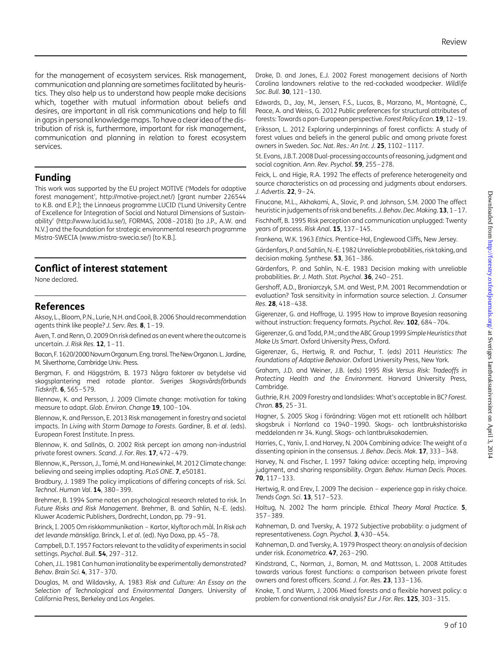<span id="page-8-0"></span>for the management of ecosystem services. Risk management, communication and planning are sometimes facilitated by heuristics. They also help us to understand how people make decisions which, together with mutual information about beliefs and desires, are important in all risk communications and help to fill in gaps in personal knowledge maps. To have a clear idea of the distribution of risk is, furthermore, important for risk management, communication and planning in relation to forest ecosystem services.

### Funding

This work was supported by the EU project MOTIVE ('Models for adaptive forest management', [http://motive-project.net/\)](http://motive-project.net/) [grant number 226544 to K.B. and E.P.]; the Linnaeus programme LUCID ('Lund University Centre of Excellence for Integration of Social and Natural Dimensions of Sustainability' [\(http://www.lucid.lu.se/](http://www.lucid.lu.se/)), FORMAS, 2008–2018) [to J.P., A.W. and N.V.] and the foundation for strategic environmental research programme Mistra-SWECIA [\(www.mistra-swecia.se/\)](http://www.mistra-swecia.se/) [to K.B.].

### Conflict of interest statement

None declared.

# References

Aksoy, L., Bloom, P.N., Lurie, N.H. and Cooil, B. 2006 Should recommendation agents think like people? J. Serv. Res. 8, 1–19.

Aven, T. and Renn, O. 2009 On risk defined as an event where the outcome is uncertain. J. Risk Res.  $12$ ,  $1-11$ .

Bacon,F.1620/2000NovumOrganum. Eng. transl. TheNewOrganon.L. Jardine, M. Silverthorne, Cambridge Univ. Press.

Bergman, F. and Häggström, B. 1973 Några faktorer av betydelse vid skogsplantering med rotade plantor. Sveriges Skogsvårdsförbunds Tidskrift. 6, 565–579.

Blennow, K. and Persson, J. 2009 Climate change: motivation for taking measure to adapt. Glob. Environ. Change 19, 100-104.

Blennow, K. and Persson, E. 2013 Risk management in forestry and societal impacts. In Living with Storm Damage to Forests. Gardiner, B. et al. (eds). European Forest Institute. In press.

Blennow, K. and Sallnäs, O. 2002 Risk percept ion among non-industrial private forest owners. Scand. J. For. Res. 17, 472–479.

Blennow, K., Persson, J., Tomé, M. and Hanewinkel, M. 2012 Climate change: believing and seeing implies adapting. PLoS ONE. 7, e50181.

Bradbury, J. 1989 The policy implications of differing concepts of risk. Sci. Technol. Human Val. 14, 380–399.

Brehmer, B. 1994 Some notes on psychological research related to risk. In Future Risks and Risk Management. Brehmer, B. and Sahlin, N.-E. (eds). Kluwer Academic Publishers, Dordrecht, London, pp. 79–91.

Brinck, I. 2005 Om riskkommunikation – Kartor, klyftor och mål. In Risk och det levande mänskliga. Brinck, I. et al. (ed). Nya Doxa, pp. 45-78.

Campbell, D.T. 1957 Factors relevant to the validity of experiments in social settings. Psychol. Bull. 54, 297-312.

Cohen, J.L. 1981 Can human irrationality be experimentally demonstrated? Behav. Brain Sci. 4, 317–370.

Douglas, M. and Wildavsky, A. 1983 Risk and Culture: An Essay on the Selection of Technological and Environmental Dangers. University of California Press, Berkeley and Los Angeles.

Drake, D. and Jones, E.J. 2002 Forest management decisions of North Carolina landowners relative to the red-cockaded woodpecker. Wildlife Soc. Bull. 30, 121-130.

Edwards, D., Jay, M., Jensen, F.S., Lucas, B., Marzano, M., Montagné, C., Peace, A. and Weiss, G. 2012 Public preferences for structural attributes of forests: Towards a pan-European perspective. Forest Policy Econ. 19, 12 –19.

Eriksson, L. 2012 Exploring underpinnings of forest conflicts: A study of forest values and beliefs in the general public and among private forest owners in Sweden. Soc. Nat. Res.: An Int. J. 25, 1102–1117.

St. Evans, J.B.T. 2008 Dual-processing accounts of reasoning, judgment and social cognition. Ann. Rev. Psychol. 59, 255–278.

Feick, L. and Higie, R.A. 1992 The effects of preference heterogeneity and source characteristics on ad processing and judgments about endorsers. J. Advertis. **22**, 9-24.

Finucane, M.L., Akhakami, A., Slovic, P. and Johnson, S.M. 2000 The affect heuristic in judgements of risk and benefits. J. Behav. Dec. Making. 13, 1-17. Fischhoff, B. 1995 Risk perception and communication unplugged: Twenty years of process. Risk Anal. 15, 137-145.

Frankena, W.K. 1963 Ethics. Prentice-Hal, Englewood Cliffs, New Jersey.

Gärdenfors, P. and Sahlin, N.-E. 1982 Unreliable probabilities, risk taking, and decision making. Synthese. **53**, 361-386.

Gärdenfors, P. and Sahlin, N.-E. 1983 Decision making with unreliable probabilities. Br. J. Math. Stat. Psychol. 36, 240–251.

Gershoff, A.D., Broniarczyk, S.M. and West, P.M. 2001 Recommendation or evaluation? Task sensitivity in information source selection. J. Consumer Res. 28, 418–438.

Gigerenzer, G. and Hoffrage, U. 1995 How to improve Bayesian reasoning without instruction: frequency formats. Psychol. Rev. 102, 684–704.

Gigerenzer, G. and Todd, P.M.; and the ABC Group 1999 Simple Heuristics that Make Us Smart. Oxford University Press, Oxford.

Gigerenzer, G., Hertwig, R. and Pachur, T. (eds) 2011 Heuristics: The Foundations of Adaptive Behavior. Oxford University Press, New York.

Graham, J.D. and Weiner, J.B. (eds) 1995 Risk Versus Risk: Tradeoffs in Protecting Health and the Environment. Harvard University Press, Cambridge.

Guthrie, R.H. 2009 Forestry and landslides: What's acceptable in BC? Forest. Chron. 85, 25–31.

Hagner, S. 2005 Skog i förändring: Vägen mot ett rationellt och hållbart skogsbruk i Norrland ca 1940 –1990. Skogs- och lantbrukshistoriska meddelanden nr 34. Kungl. Skogs- och lantbruksakademien.

Harries, C., Yaniv, I. and Harvey, N. 2004 Combining advice: The weight of a dissenting opinion in the consensus. J. Behav. Decis. Mak. 17, 333-348.

Harvey, N. and Fischer, I. 1997 Taking advice: accepting help, improving judgment, and sharing responsibility. Organ. Behav. Human Decis. Proces. 70, 117–133.

Hertwig, R. and Erev, I. 2009 The decision – experience gap in risky choice. Trends Cogn. Sci. **13**, 517-523.

Holtug, N. 2002 The harm principle. Ethical Theory Moral Practice. 5, 357–389.

Kahneman, D. and Tversky, A. 1972 Subjective probability: a judgment of representativeness. Cogn. Psychol. 3, 430–454.

Kahneman, D. and Tversky, A. 1979 Prospect theory: an analysis of decision under risk. Econometrica. 47, 263–290.

Kindstrand, C., Norman, J., Boman, M. and Mattsson, L. 2008 Attitudes towards various forest functions: a comparison between private forest owners and forest officers. Scand. J. For. Res. 23, 133–136.

Knoke, T. and Wurm, J. 2006 Mixed forests and a flexible harvest policy: a problem for conventional risk analysis? Eur J For. Res. 125, 303-315.